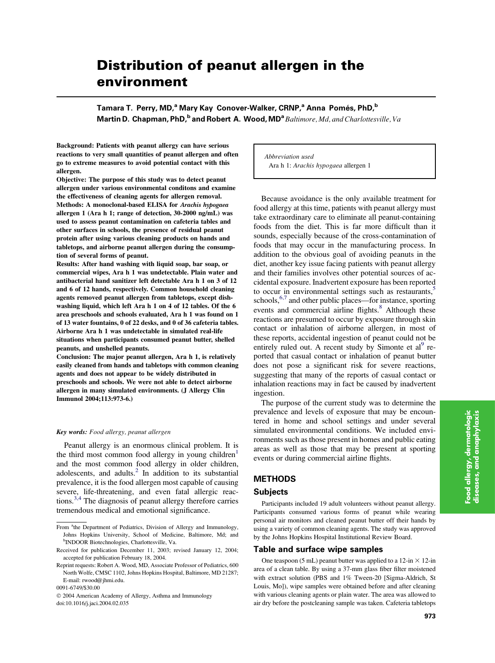# Distribution of peanut allergen in the environment

Tamara T. Perry, MD,<sup>a</sup> Mary Kay Conover-Walker, CRNP,<sup>a</sup> Anna Pomés, PhD,<sup>b</sup> Martin D. Chapman, PhD,<sup>b</sup> and Robert A. Wood, MD<sup>a</sup> Baltimore, Md, and Charlottesville, Va

Background: Patients with peanut allergy can have serious reactions to very small quantities of peanut allergen and often go to extreme measures to avoid potential contact with this allergen.

Objective: The purpose of this study was to detect peanut allergen under various environmental conditons and examine the effectiveness of cleaning agents for allergen removal. Methods: A monoclonal-based ELISA for Arachis hypogaea allergen 1 (Ara h 1; range of detection, 30-2000 ng/mL) was used to assess peanut contamination on cafeteria tables and other surfaces in schools, the presence of residual peanut protein after using various cleaning products on hands and tabletops, and airborne peanut allergen during the consumption of several forms of peanut.

Results: After hand washing with liquid soap, bar soap, or commercial wipes, Ara h 1 was undetectable. Plain water and antibacterial hand sanitizer left detectable Ara h 1 on 3 of 12 and 6 of 12 hands, respectively. Common household cleaning agents removed peanut allergen from tabletops, except dishwashing liquid, which left Ara h 1 on 4 of 12 tables. Of the 6 area preschools and schools evaluated, Ara h 1 was found on 1 of 13 water fountains, 0 of 22 desks, and 0 of 36 cafeteria tables. Airborne Ara h 1 was undetectable in simulated real-life situations when participants consumed peanut butter, shelled peanuts, and unshelled peanuts.

Conclusion: The major peanut allergen, Ara h 1, is relatively easily cleaned from hands and tabletops with common cleaning agents and does not appear to be widely distributed in preschools and schools. We were not able to detect airborne allergen in many simulated environments. (J Allergy Clin Immunol 2004;113:973-6.)

#### Key words: Food allergy, peanut allergen

Peanut allergy is an enormous clinical problem. It is the third most common food allergy in young children<sup>[1](#page-3-0)</sup> and the most common food allergy in older children, adolescents, and adults. $^{2}$  In addition to its substantial prevalence, it is the food allergen most capable of causing severe, life-threatening, and even fatal allergic reactions. $3,4$  The diagnosis of peanut allergy therefore carries tremendous medical and emotional significance.

0091-6749/\$30.00

2004 American Academy of Allergy, Asthma and Immunology

doi:10.1016/j.jaci.2004.02.035

Abbreviation used Ara h 1: Arachis hypogaea allergen 1

Because avoidance is the only available treatment for food allergy at this time, patients with peanut allergy must take extraordinary care to eliminate all peanut-containing foods from the diet. This is far more difficult than it sounds, especially because of the cross-contamination of foods that may occur in the manufacturing process. In addition to the obvious goal of avoiding peanuts in the diet, another key issue facing patients with peanut allergy and their families involves other potential sources of accidental exposure. Inadvertent exposure has been reported to occur in environmental settings such as restaurants,<sup>[5](#page-3-0)</sup> schools,<sup>[6,7](#page-3-0)</sup> and other public places—for instance, sporting events and commercial airline flights.<sup>8</sup> Although these reactions are presumed to occur by exposure through skin contact or inhalation of airborne allergen, in most of these reports, accidental ingestion of peanut could not be entirely ruled out. A recent study by Simonte et al<sup>[9](#page-3-0)</sup> reported that casual contact or inhalation of peanut butter does not pose a significant risk for severe reactions, suggesting that many of the reports of casual contact or inhalation reactions may in fact be caused by inadvertent ingestion.

The purpose of the current study was to determine the prevalence and levels of exposure that may be encountered in home and school settings and under several simulated environmental conditions. We included environments such as those present in homes and public eating areas as well as those that may be present at sporting events or during commercial airline flights.

## **METHODS**

## **Subjects**

Participants included 19 adult volunteers without peanut allergy. Participants consumed various forms of peanut while wearing personal air monitors and cleaned peanut butter off their hands by using a variety of common cleaning agents. The study was approved by the Johns Hopkins Hospital Institutional Review Board.

## Table and surface wipe samples

One teaspoon (5 mL) peanut butter was applied to a  $12$ -in  $\times$  12-in area of a clean table. By using a 37-mm glass fiber filter moistened with extract solution (PBS and 1% Tween-20 [Sigma-Aldrich, St Louis, Mo]), wipe samples were obtained before and after cleaning with various cleaning agents or plain water. The area was allowed to air dry before the postcleaning sample was taken. Cafeteria tabletops

From <sup>a</sup>the Department of Pediatrics, Division of Allergy and Immunology, Johns Hopkins University, School of Medicine, Baltimore, Md; and b INDOOR Biotechnologies, Charlottesville, Va.

Received for publication December 11, 2003; revised January 12, 2004; accepted for publication February 18, 2004.

Reprint requests: Robert A. Wood, MD, Associate Professor of Pediatrics, 600 North Wolfe, CMSC 1102, Johns Hopkins Hospital, Baltimore, MD 21287; E-mail: rwood@jhmi.edu.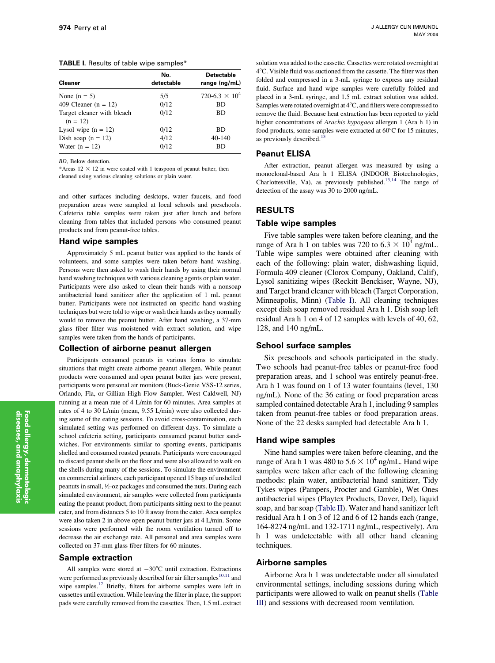TABLE I. Results of table wipe samples\*

| <b>Cleaner</b>                           | No.<br>detectable | <b>Detectable</b><br>range (ng/mL) |
|------------------------------------------|-------------------|------------------------------------|
| None $(n = 5)$                           | 5/5               | $720-6.3 \times 10^4$              |
| 409 Cleaner $(n = 12)$                   | 0/12              | BD.                                |
| Target cleaner with bleach<br>$(n = 12)$ | 0/12              | BD.                                |
| Lysol wipe $(n = 12)$                    | 0/12              | BD.                                |
| Dish soap $(n = 12)$                     | 4/12              | $40-140$                           |
| Water $(n = 12)$                         | 0/12              | ВD                                 |

BD, Below detection.

\*Areas  $12 \times 12$  in were coated with 1 teaspoon of peanut butter, then cleaned using various cleaning solutions or plain water.

and other surfaces including desktops, water faucets, and food preparation areas were sampled at local schools and preschools. Cafeteria table samples were taken just after lunch and before cleaning from tables that included persons who consumed peanut products and from peanut-free tables.

## Hand wipe samples

Approximately 5 mL peanut butter was applied to the hands of volunteers, and some samples were taken before hand washing. Persons were then asked to wash their hands by using their normal hand washing techniques with various cleaning agents or plain water. Participants were also asked to clean their hands with a nonsoap antibacterial hand sanitizer after the application of 1 mL peanut butter. Participants were not instructed on specific hand washing techniques but were told to wipe or wash their hands as they normally would to remove the peanut butter. After hand washing, a 37-mm glass fiber filter was moistened with extract solution, and wipe samples were taken from the hands of participants.

#### Collection of airborne peanut allergen

Participants consumed peanuts in various forms to simulate situations that might create airborne peanut allergen. While peanut products were consumed and open peanut butter jars were present, participants wore personal air monitors (Buck-Genie VSS-12 series, Orlando, Fla, or Gillian High Flow Sampler, West Caldwell, NJ) running at a mean rate of 4 L/min for 60 minutes. Area samples at rates of 4 to 30 L/min (mean, 9.55 L/min) were also collected during some of the eating sessions. To avoid cross-contamination, each simulated setting was performed on different days. To simulate a school cafeteria setting, participants consumed peanut butter sandwiches. For environments similar to sporting events, participants shelled and consumed roasted peanuts. Participants were encouraged to discard peanut shells on the floor and were also allowed to walk on the shells during many of the sessions. To simulate the environment on commercial airliners, each participant opened 15 bags of unshelled peanuts in small, ½-oz packages and consumed the nuts. During each simulated environment, air samples were collected from participants eating the peanut product, from participants sitting next to the peanut eater, and from distances 5 to 10 ft away from the eater. Area samples were also taken 2 in above open peanut butter jars at 4 L/min. Some sessions were performed with the room ventilation turned off to decrease the air exchange rate. All personal and area samples were collected on 37-mm glass fiber filters for 60 minutes.

#### Sample extraction

All samples were stored at  $-30^{\circ}$ C until extraction. Extractions were performed as previously described for air filter samples $^{10,11}$  and wipe samples.<sup>12</sup> Briefly, filters for airborne samples were left in cassettes until extraction. While leaving the filter in place, the support pads were carefully removed from the cassettes. Then, 1.5 mL extract

solution was added to the cassette. Cassettes were rotated overnight at 48C. Visible fluid was suctioned from the cassette. The filter was then folded and compressed in a 3-mL syringe to express any residual fluid. Surface and hand wipe samples were carefully folded and placed in a 3-mL syringe, and 1.5 mL extract solution was added. Samples were rotated overnight at 4°C, and filters were compressed to remove the fluid. Because heat extraction has been reported to yield higher concentrations of Arachis hypogaea allergen 1 (Ara h 1) in food products, some samples were extracted at  $60^{\circ}$ C for 15 minutes, as previously described. $13$ 

#### Peanut ELISA

After extraction, peanut allergen was measured by using a monoclonal-based Ara h 1 ELISA (INDOOR Biotechnologies, Charlottesville, Va), as previously published.<sup>13,14</sup> The range of detection of the assay was 30 to 2000 ng/mL.

## RESULTS

#### Table wipe samples

Five table samples were taken before cleaning, and the range of Ara h 1 on tables was 720 to  $6.3 \times 10^4$  ng/mL. Table wipe samples were obtained after cleaning with each of the following: plain water, dishwashing liquid, Formula 409 cleaner (Clorox Company, Oakland, Calif), Lysol sanitizing wipes (Reckitt Benckiser, Wayne, NJ), and Target brand cleaner with bleach (Target Corporation, Minneapolis, Minn) (Table I). All cleaning techniques except dish soap removed residual Ara h 1. Dish soap left residual Ara h 1 on 4 of 12 samples with levels of 40, 62, 128, and 140 ng/mL.

### School surface samples

Six preschools and schools participated in the study. Two schools had peanut-free tables or peanut-free food preparation areas, and 1 school was entirely peanut-free. Ara h 1 was found on 1 of 13 water fountains (level, 130 ng/mL). None of the 36 eating or food preparation areas sampled contained detectable Ara h 1, including 9 samples taken from peanut-free tables or food preparation areas. None of the 22 desks sampled had detectable Ara h 1.

#### Hand wipe samples

Nine hand samples were taken before cleaning, and the range of Ara h 1 was 480 to  $5.6 \times 10^4$  ng/mL. Hand wipe samples were taken after each of the following cleaning methods: plain water, antibacterial hand sanitizer, Tidy Tykes wipes (Pampers, Procter and Gamble), Wet Ones antibacterial wipes (Playtex Products, Dover, Del), liquid soap, and bar soap ([Table II\)](#page-2-0). Water and hand sanitizer left residual Ara h 1 on 3 of 12 and 6 of 12 hands each (range, 164-8274 ng/mL and 132-1711 ng/mL, respectively). Ara h 1 was undetectable with all other hand cleaning techniques.

#### Airborne samples

Airborne Ara h 1 was undetectable under all simulated environmental settings, including sessions during which participants were allowed to walk on peanut shells ([Table](#page-2-0) [III](#page-2-0)) and sessions with decreased room ventilation.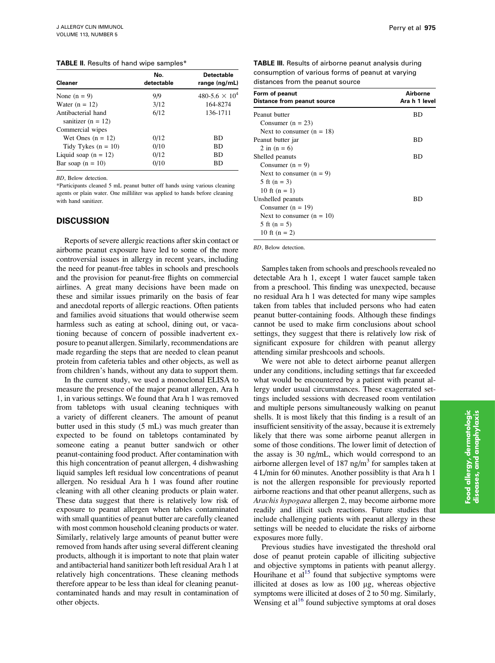<span id="page-2-0"></span>TABLE II. Results of hand wipe samples\*

| Cleaner                                      | No.<br>detectable | <b>Detectable</b><br>range (ng/mL) |
|----------------------------------------------|-------------------|------------------------------------|
| None $(n = 9)$                               | 9/9               | 480-5.6 $\times$ 10 <sup>4</sup>   |
| Water $(n = 12)$                             | 3/12              | 164-8274                           |
| Antibacterial hand<br>sanitizer ( $n = 12$ ) | 6/12              | 136-1711                           |
| Commercial wipes                             |                   |                                    |
| Wet Ones $(n = 12)$                          | 0/12              | ВD                                 |
| Tidy Tykes $(n = 10)$                        | 0/10              | <b>BD</b>                          |
| Liquid soap $(n = 12)$                       | 0/12              | ВD                                 |
| Bar soap $(n = 10)$                          | 0/10              | ВD                                 |

BD, Below detection.

\*Participants cleaned 5 mL peanut butter off hands using various cleaning agents or plain water. One milliliter was applied to hands before cleaning with hand sanitizer.

## **DISCUSSION**

Reports of severe allergic reactions after skin contact or airborne peanut exposure have led to some of the more controversial issues in allergy in recent years, including the need for peanut-free tables in schools and preschools and the provision for peanut-free flights on commercial airlines. A great many decisions have been made on these and similar issues primarily on the basis of fear and anecdotal reports of allergic reactions. Often patients and families avoid situations that would otherwise seem harmless such as eating at school, dining out, or vacationing because of concern of possible inadvertent exposure to peanut allergen. Similarly, recommendations are made regarding the steps that are needed to clean peanut protein from cafeteria tables and other objects, as well as from children's hands, without any data to support them.

In the current study, we used a monoclonal ELISA to measure the presence of the major peanut allergen, Ara h 1, in various settings. We found that Ara h 1 was removed from tabletops with usual cleaning techniques with a variety of different cleaners. The amount of peanut butter used in this study (5 mL) was much greater than expected to be found on tabletops contaminated by someone eating a peanut butter sandwich or other peanut-containing food product. After contamination with this high concentration of peanut allergen, 4 dishwashing liquid samples left residual low concentrations of peanut allergen. No residual Ara h 1 was found after routine cleaning with all other cleaning products or plain water. These data suggest that there is relatively low risk of exposure to peanut allergen when tables contaminated with small quantities of peanut butter are carefully cleaned with most common household cleaning products or water. Similarly, relatively large amounts of peanut butter were removed from hands after using several different cleaning products, although it is important to note that plain water and antibacterial hand sanitizer both left residual Ara h 1 at relatively high concentrations. These cleaning methods therefore appear to be less than ideal for cleaning peanutcontaminated hands and may result in contamination of other objects.

| <b>TABLE III.</b> Results of airborne peanut analysis during |
|--------------------------------------------------------------|
| consumption of various forms of peanut at varving            |
| distances from the peanut source                             |

| Form of peanut<br>Distance from peanut source | Airborne<br>Ara h 1 level |
|-----------------------------------------------|---------------------------|
| Peanut butter                                 | ВD                        |
| Consumer $(n = 23)$                           |                           |
| Next to consumer $(n = 18)$                   |                           |
| Peanut butter jar                             | ВD                        |
| 2 in $(n = 6)$                                |                           |
| Shelled peanuts                               | ВD                        |
| Consumer $(n = 9)$                            |                           |
| Next to consumer $(n = 9)$                    |                           |
| 5 ft ( $n = 3$ )                              |                           |
| 10 ft ( $n = 1$ )                             |                           |
| Unshelled peanuts                             | ВD                        |
| Consumer $(n = 19)$                           |                           |
| Next to consumer $(n = 10)$                   |                           |
| 5 ft (n = 5)                                  |                           |
| 10 ft ( $n = 2$ )                             |                           |

BD, Below detection.

Samples taken from schools and preschools revealed no detectable Ara h 1, except 1 water faucet sample taken from a preschool. This finding was unexpected, because no residual Ara h 1 was detected for many wipe samples taken from tables that included persons who had eaten peanut butter-containing foods. Although these findings cannot be used to make firm conclusions about school settings, they suggest that there is relatively low risk of significant exposure for children with peanut allergy attending similar preshcools and schools.

We were not able to detect airborne peanut allergen under any conditions, including settings that far exceeded what would be encountered by a patient with peanut allergy under usual circumstances. These exagerrated settings included sessions with decreased room ventilation and multiple persons simultaneously walking on peanut shells. It is most likely that this finding is a result of an insufficient sensitivity of the assay, because it is extremely likely that there was some airborne peanut allergen in some of those conditions. The lower limit of detection of the assay is 30 ng/mL, which would correspond to an airborne allergen level of  $187$  ng/m<sup>3</sup> for samples taken at 4 L/min for 60 minutes. Another possiblity is that Ara h 1 is not the allergen responsible for previously reported airborne reactions and that other peanut allergens, such as Arachis hypogaea allergen 2, may become airborne more readily and illicit such reactions. Future studies that include challenging patients with peanut allergy in these settings will be needed to elucidate the risks of airborne exposures more fully.

Previous studies have investigated the threshold oral dose of peanut protein capable of illiciting subjective and objective symptoms in patients with peanut allergy. Hourihane et al<sup>[15](#page-3-0)</sup> found that subjective symptoms were illicited at doses as low as 100 µg, whereas objective symptoms were illicited at doses of 2 to 50 mg. Similarly, Wensing et  $al<sup>16</sup>$  $al<sup>16</sup>$  $al<sup>16</sup>$  found subjective symptoms at oral doses